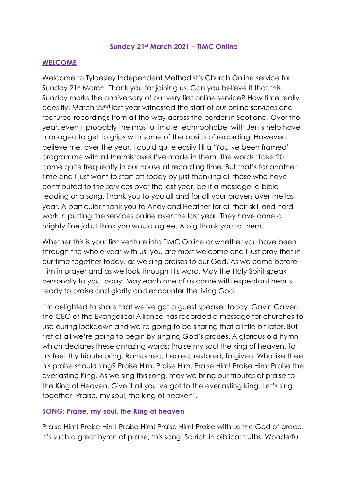## **Sunday 21st March 2021 – TIMC Online**

### **WELCOME**

Welcome to Tyldesley Independent Methodist's Church Online service for Sunday 21st March. Thank you for joining us. Can you believe it that this Sunday marks the anniversary of our very first online service? How time really does fly! March 22nd last year witnessed the start of our online services and featured recordings from all the way across the border in Scotland. Over the year, even I, probably the most ultimate technophobe, with Jen's help have managed to get to grips with some of the basics of recording. However, believe me, over the year, I could quite easily fill a 'You've been framed' programme with all the mistakes I've made in them. The words 'Take 20' come quite frequently in our house at recording time. But that's for another time and I just want to start off today by just thanking all those who have contributed to the services over the last year, be it a message, a bible reading or a song. Thank you to you all and for all your prayers over the last year. A particular thank you to Andy and Heather for all their skill and hard work in putting the services online over the last year. They have done a mighty fine job, I think you would agree. A big thank you to them.

Whether this is your first venture into TIMC Online or whether you have been through the whole year with us, you are most welcome and I just pray that in our time together today, as we sing praises to our God. As we come before Him in prayer and as we look through His word. May the Holy Spirit speak personally to you today. May each one of us come with expectant hearts ready to praise and glorify and encounter the living God.

I'm delighted to share that we've got a guest speaker today. Gavin Calver, the CEO of the Evangelical Alliance has recorded a message for churches to use during lockdown and we're going to be sharing that a little bit later. But first of all we're going to begin by singing God's praises. A glorious old hymn which declares these amazing words: Praise my soul the king of heaven. To his feet thy tribute bring. Ransomed, healed, restored, forgiven. Who like thee his praise should sing? Praise Him, Praise Him. Praise Him! Praise Him! Praise the everlasting King. As we sing this song, may we bring our tributes of praise to the King of Heaven. Give it all you've got to the everlasting King. Let's sing together 'Praise, my soul, the king of heaven'.

### **SONG: Praise, my soul, the King of heaven**

Praise Him! Praise Him! Praise Him! Praise Him! Praise with us the God of grace. It's such a great hymn of praise, this song. So rich in biblical truths. Wonderful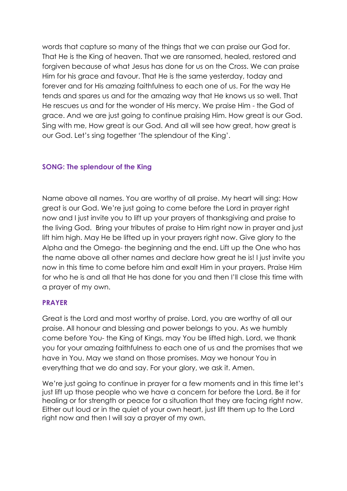words that capture so many of the things that we can praise our God for. That He is the King of heaven. That we are ransomed, healed, restored and forgiven because of what Jesus has done for us on the Cross. We can praise Him for his grace and favour. That He is the same yesterday, today and forever and for His amazing faithfulness to each one of us. For the way He tends and spares us and for the amazing way that He knows us so well. That He rescues us and for the wonder of His mercy. We praise Him - the God of grace. And we are just going to continue praising Him. How great is our God. Sing with me, How great is our God. And all will see how great, how great is our God. Let's sing together 'The splendour of the King'.

# **SONG: The splendour of the King**

Name above all names. You are worthy of all praise. My heart will sing: How great is our God. We're just going to come before the Lord in prayer right now and I just invite you to lift up your prayers of thanksgiving and praise to the living God. Bring your tributes of praise to Him right now in prayer and just lift him high. May He be lifted up in your prayers right now. Give glory to the Alpha and the Omega- the beginning and the end. Lift up the One who has the name above all other names and declare how great he is! I just invite you now in this time to come before him and exalt Him in your prayers. Praise Him for who he is and all that He has done for you and then I'll close this time with a prayer of my own.

## **PRAYER**

Great is the Lord and most worthy of praise. Lord, you are worthy of all our praise. All honour and blessing and power belongs to you. As we humbly come before You- the King of Kings, may You be lifted high. Lord, we thank you for your amazing faithfulness to each one of us and the promises that we have in You. May we stand on those promises. May we honour You in everything that we do and say. For your glory, we ask it. Amen.

We're just going to continue in prayer for a few moments and in this time let's just lift up those people who we have a concern for before the Lord. Be it for healing or for strength or peace for a situation that they are facing right now. Either out loud or in the quiet of your own heart, just lift them up to the Lord right now and then I will say a prayer of my own.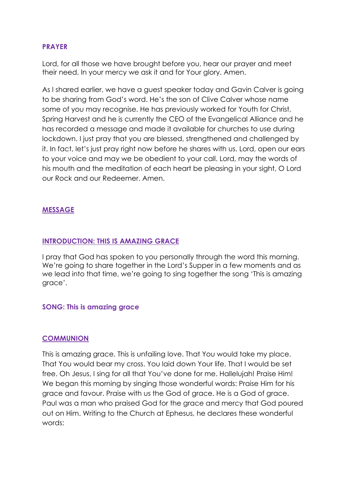### **PRAYER**

Lord, for all those we have brought before you, hear our prayer and meet their need. In your mercy we ask it and for Your glory. Amen.

As I shared earlier, we have a guest speaker today and Gavin Calver is going to be sharing from God's word. He's the son of Clive Calver whose name some of you may recognise. He has previously worked for Youth for Christ, Spring Harvest and he is currently the CEO of the Evangelical Alliance and he has recorded a message and made it available for churches to use during lockdown. I just pray that you are blessed, strengthened and challenged by it. In fact, let's just pray right now before he shares with us. Lord, open our ears to your voice and may we be obedient to your call. Lord, may the words of his mouth and the meditation of each heart be pleasing in your sight, O Lord our Rock and our Redeemer. Amen.

## **MESSAGE**

## **INTRODUCTION: THIS IS AMAZING GRACE**

I pray that God has spoken to you personally through the word this morning. We're going to share together in the Lord's Supper in a few moments and as we lead into that time, we're going to sing together the song 'This is amazing grace'.

### **SONG: This is amazing grace**

### **COMMUNION**

This is amazing grace. This is unfailing love. That You would take my place. That You would bear my cross. You laid down Your life. That I would be set free. Oh Jesus, I sing for all that You've done for me. Hallelujah! Praise Him! We began this morning by singing those wonderful words: Praise Him for his grace and favour. Praise with us the God of grace. He is a God of grace. Paul was a man who praised God for the grace and mercy that God poured out on Him. Writing to the Church at Ephesus, he declares these wonderful words: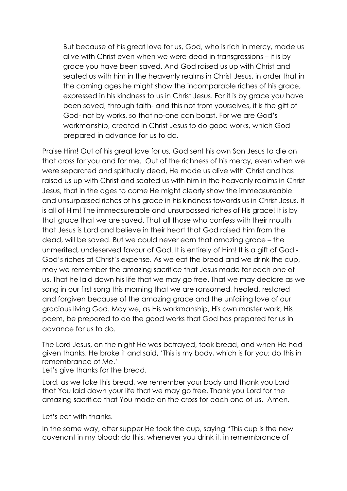But because of his great love for us, God, who is rich in mercy, made us alive with Christ even when we were dead in transgressions – it is by grace you have been saved. And God raised us up with Christ and seated us with him in the heavenly realms in Christ Jesus, in order that in the coming ages he might show the incomparable riches of his grace, expressed in his kindness to us in Christ Jesus. For it is by grace you have been saved, through faith- and this not from yourselves, it is the gift of God- not by works, so that no-one can boast. For we are God's workmanship, created in Christ Jesus to do good works, which God prepared in advance for us to do.

Praise Him! Out of his great love for us, God sent his own Son Jesus to die on that cross for you and for me. Out of the richness of his mercy, even when we were separated and spiritually dead, He made us alive with Christ and has raised us up with Christ and seated us with him in the heavenly realms in Christ Jesus, that in the ages to come He might clearly show the immeasureable and unsurpassed riches of his grace in his kindness towards us in Christ Jesus. It is all of Him! The immeasureable and unsurpassed riches of His grace! It is by that grace that we are saved. That all those who confess with their mouth that Jesus is Lord and believe in their heart that God raised him from the dead, will be saved. But we could never earn that amazing grace – the unmerited, undeserved favour of God. It is entirely of Him! It is a gift of God - God's riches at Christ's expense. As we eat the bread and we drink the cup, may we remember the amazing sacrifice that Jesus made for each one of us. That he laid down his life that we may go free. That we may declare as we sang in our first song this morning that we are ransomed, healed, restored and forgiven because of the amazing grace and the unfailing love of our gracious living God. May we, as His workmanship, His own master work, His poem, be prepared to do the good works that God has prepared for us in advance for us to do.

The Lord Jesus, on the night He was betrayed, took bread, and when He had given thanks. He broke it and said, 'This is my body, which is for you; do this in remembrance of Me.'

Let's give thanks for the bread.

Lord, as we take this bread, we remember your body and thank you Lord that You laid down your life that we may go free. Thank you Lord for the amazing sacrifice that You made on the cross for each one of us. Amen.

Let's eat with thanks.

In the same way, after supper He took the cup, saying "This cup is the new covenant in my blood; do this, whenever you drink it, in remembrance of